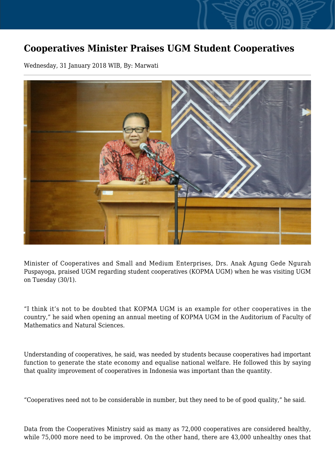## **Cooperatives Minister Praises UGM Student Cooperatives**

Wednesday, 31 January 2018 WIB, By: Marwati



Minister of Cooperatives and Small and Medium Enterprises, Drs. Anak Agung Gede Ngurah Puspayoga, praised UGM regarding student cooperatives (KOPMA UGM) when he was visiting UGM on Tuesday (30/1).

"I think it's not to be doubted that KOPMA UGM is an example for other cooperatives in the country," he said when opening an annual meeting of KOPMA UGM in the Auditorium of Faculty of Mathematics and Natural Sciences.

Understanding of cooperatives, he said, was needed by students because cooperatives had important function to generate the state economy and equalise national welfare. He followed this by saying that quality improvement of cooperatives in Indonesia was important than the quantity.

"Cooperatives need not to be considerable in number, but they need to be of good quality," he said.

Data from the Cooperatives Ministry said as many as 72,000 cooperatives are considered healthy, while 75,000 more need to be improved. On the other hand, there are 43,000 unhealthy ones that